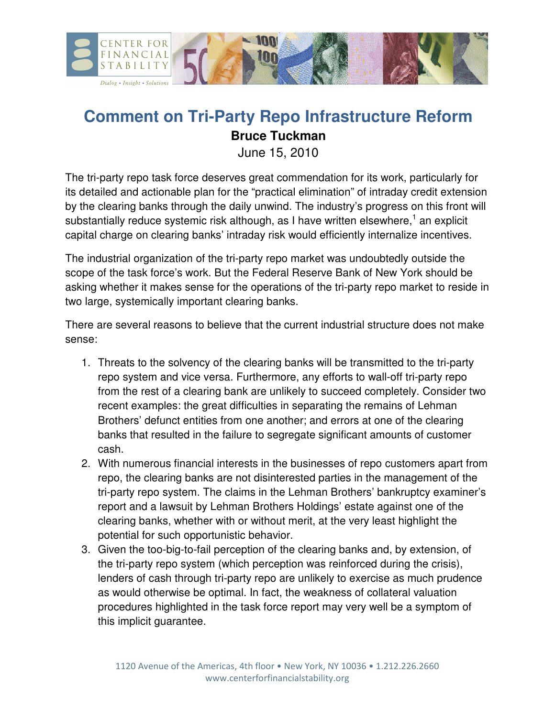

## **Comment on Tri-Party Repo Infrastructure Reform Bruce Tuckman**

June 15, 2010

The tri-party repo task force deserves great commendation for its work, particularly for its detailed and actionable plan for the "practical elimination" of intraday credit extension by the clearing banks through the daily unwind. The industry's progress on this front will substantially reduce systemic risk although, as I have written elsewhere,<sup>1</sup> an explicit capital charge on clearing banks' intraday risk would efficiently internalize incentives.

The industrial organization of the tri-party repo market was undoubtedly outside the scope of the task force's work. But the Federal Reserve Bank of New York should be asking whether it makes sense for the operations of the tri-party repo market to reside in two large, systemically important clearing banks.

There are several reasons to believe that the current industrial structure does not make sense:

- 1. Threats to the solvency of the clearing banks will be transmitted to the tri-party repo system and vice versa. Furthermore, any efforts to wall-off tri-party repo from the rest of a clearing bank are unlikely to succeed completely. Consider two recent examples: the great difficulties in separating the remains of Lehman Brothers' defunct entities from one another; and errors at one of the clearing banks that resulted in the failure to segregate significant amounts of customer cash.
- 2. With numerous financial interests in the businesses of repo customers apart from repo, the clearing banks are not disinterested parties in the management of the tri-party repo system. The claims in the Lehman Brothers' bankruptcy examiner's report and a lawsuit by Lehman Brothers Holdings' estate against one of the clearing banks, whether with or without merit, at the very least highlight the potential for such opportunistic behavior.
- 3. Given the too-big-to-fail perception of the clearing banks and, by extension, of the tri-party repo system (which perception was reinforced during the crisis), lenders of cash through tri-party repo are unlikely to exercise as much prudence as would otherwise be optimal. In fact, the weakness of collateral valuation procedures highlighted in the task force report may very well be a symptom of this implicit guarantee.